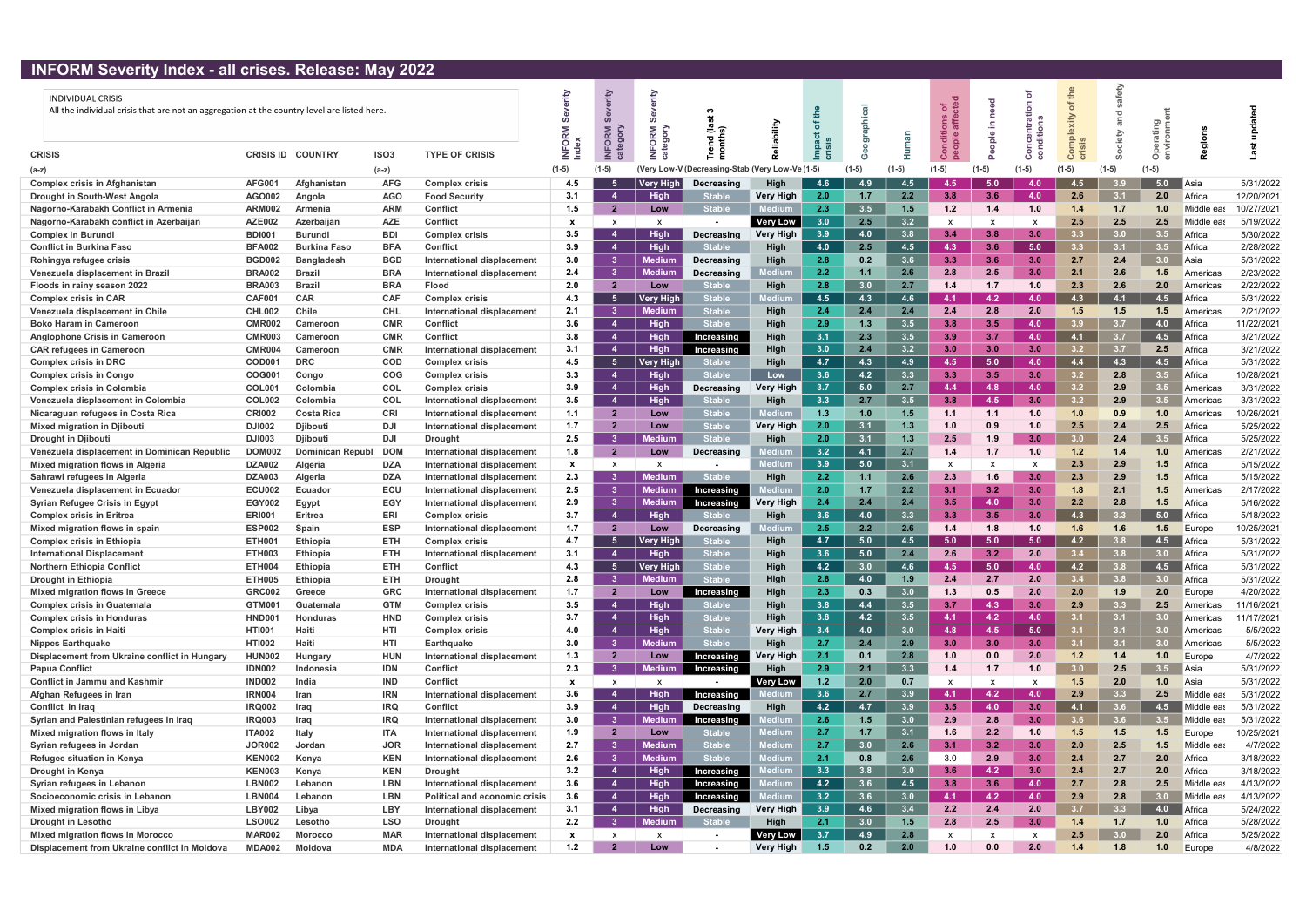## INFORM Severity Index - all crises. Release: May 2022

| <b>IN ONI JEVEHLY HIUEA - AIL CHSES. INCIEASE. INAY LULL</b>                                                            |                  |                     |                  |                                      |                           |                           |                             |                              |                      |       |                  |       |         |               |                  |                  |            |               |              |            |
|-------------------------------------------------------------------------------------------------------------------------|------------------|---------------------|------------------|--------------------------------------|---------------------------|---------------------------|-----------------------------|------------------------------|----------------------|-------|------------------|-------|---------|---------------|------------------|------------------|------------|---------------|--------------|------------|
| <b>INDIVIDUAL CRISIS</b><br>All the individual crisis that are not an aggregation at the country level are listed here. |                  |                     |                  |                                      | Index                     | erity<br>ORM<br>egory     | Alobi<br>$\overline{\circ}$ | nd (la<br>nths)              | Allip                |       |                  |       | 'ত      | $\frac{e}{2}$ |                  | the<br>৳<br>xity | afety<br>ਠ | ටා            |              |            |
| <b>CRISIS</b>                                                                                                           | <b>CRISIS ID</b> | <b>COUNTRY</b>      | ISO <sub>3</sub> | <b>TYPE OF CRISIS</b>                |                           | $\geq$                    |                             |                              |                      |       |                  |       | $\circ$ |               | $\circ$          |                  |            |               |              |            |
| (a-z)                                                                                                                   |                  |                     | $(a-z)$          |                                      | $(1-5)$                   | $(1-5)$                   |                             | (Very Low-V (Decreasing-Stab | (Very Low-Ve (1-5)   |       | $(1-5)$          | (1-5) | (1-5)   |               | (1-5)            | $(1-5)$          | $(1-5)$    | $(1-5)$       |              |            |
| <b>Complex crisis in Afghanistan</b>                                                                                    | <b>AFG001</b>    | Afghanistan         | <b>AFG</b>       | <b>Complex crisis</b>                | 4.5                       |                           | Very High                   | Decreasing                   | High                 | 4.6   | 4.9              | 4.5   | -4.5    | 5.0           | 4.0              | 4.5              |            | 5.0           | ∎Asia        | 5/31/2022  |
| Drought in South-West Angola                                                                                            | <b>AGO002</b>    | Angola              | <b>AGO</b>       | <b>Food Security</b>                 | 3.1                       |                           | <b>High</b>                 | <b>Stable</b>                | <b>Very High</b>     | 2.0   | 1.7 <sub>z</sub> | 2.2   | 3.8     | 3.6           | 4.0              | 2.6              | 3.1        | 2.0           | Africa       | 12/20/2021 |
| Nagorno-Karabakh Conflict in Armenia                                                                                    | <b>ARM002</b>    | <b>Armenia</b>      | <b>ARM</b>       | <b>Conflict</b>                      | 1.5                       | $\overline{2}$            | Low                         | <b>Stable</b>                |                      | 2.3   | 3.5              | 1.5   | 1.2     | 1.4           | 1.0              | 1.4              | 1.7        | 1.0           | Middle eas   | 10/27/2021 |
| Nagorno-Karabakh conflict in Azerbaijan                                                                                 | <b>AZE002</b>    | Azerbaijan          | <b>AZE</b>       | <b>Conflict</b>                      | $\boldsymbol{\mathsf{x}}$ | x                         | $\boldsymbol{\mathsf{x}}$   |                              | <b>Very Low</b>      | 3.0   | 2.5              | 3.2   |         |               |                  | 2.5              | 2.5        | 2.5           | Middle ea    | 5/19/2022  |
| <b>Complex in Burundi</b>                                                                                               | <b>BDI001</b>    | <b>Burundi</b>      | BDI              | <b>Complex crisis</b>                | 3.5                       |                           | <b>High</b>                 | Decreasing                   | <b>Very High</b>     | 3.9   | 4.0              | 3.8   | 3.4     | 3.8           | 3.0              | 3.3              | 3.0        | 3.5           | Africa       | 5/30/2022  |
| <b>Conflict in Burkina Faso</b>                                                                                         | <b>BFA002</b>    | <b>Burkina Faso</b> | <b>BFA</b>       | <b>Conflict</b>                      | 3.9                       | -4                        | High                        | <b>Stable</b>                | High                 | 4.0   | 2.5              | 4.5   | 4.3     | 3.6           | 5.0              | 3.3              | 3.1        | 3.5           | Africa       | 2/28/2022  |
| Rohingya refugee crisis                                                                                                 | <b>BGD002</b>    | <b>Bangladesh</b>   | <b>BGD</b>       | International displacement           | 3.0                       | - 3                       | <b>Medium</b>               | Decreasing                   | High                 | 2.8   | 0.2 <sub>0</sub> | 3.6   | 3.3     | 3.6           | 3.0              | 2.7              | 2.4        | 3.0           | l Asia       | 5/31/2022  |
| Venezuela displacement in Brazil                                                                                        | <b>BRA002</b>    | <b>Brazil</b>       | <b>BRA</b>       | International displacement           | 2.4                       | - 3                       | <b>Medium</b>               | Decreasing                   | edium                | 2.2   | 1.1              | 2.6   | 2.8     | 2.5           | 3.0              | 2.1              | 2.6        | 1.5           | Americas     | 2/23/2022  |
| Floods in rainy season 2022                                                                                             | <b>BRA003</b>    | <b>Brazil</b>       | <b>BRA</b>       | Flood                                | 2.0                       | $\overline{2}$            | Low                         | <b>Stable</b>                | High                 | 2.8   | 3.0              | 2.7   | 1.4     | 1.7           | 1.0              | 2.3              | 2.6        | 2.0           | Americas     | 2/22/2022  |
| <b>Complex crisis in CAR</b>                                                                                            | CAF00            | <b>CAR</b>          | <b>CAF</b>       | <b>Complex crisis</b>                | 4.3                       | -5                        | <b>Very High</b>            | <b>Stable</b>                | lediu                | 4.5   | 4.3              | 4.6   | -4.1    | 4.2           | 4.0 <sub>1</sub> | 4.3              | 4.1        | 4.5           | Africa       | 5/31/2022  |
| Venezuela displacement in Chile                                                                                         | <b>CHL002</b>    | <b>Chile</b>        | <b>CHL</b>       | International displacement           | 2.1                       | -3                        | <b>Medium</b>               | <b>Stable</b>                | High                 | 2.4   | 2.4              | 2.4   | 2.4     | 2.8           | 2.0              | 1.5              | 1.5        | 1.5           | Americas     | 2/21/2022  |
| <b>Boko Haram in Cameroon</b>                                                                                           | <b>CMR002</b>    | Cameroon            | <b>CMR</b>       | <b>Conflict</b>                      | 3.6                       | $\boldsymbol{\Lambda}$    | <b>High</b>                 | <b>Stable</b>                | <b>High</b>          | 2.9   | 1.3              | 3.5   | 3.8     | 3.5           | 4.0              | 3.9              | 3.7        | 4.0           | Africa       | 11/22/2021 |
| <b>Anglophone Crisis in Cameroon</b>                                                                                    | <b>CMR003</b>    | Cameroon            | <b>CMR</b>       | <b>Conflict</b>                      | 3.8                       | $\overline{4}$            | <b>High</b>                 | Increasing                   | High                 | 3.1   | 2.3              | 3.5   | 3.9     | 3.7           | 4.0              | 4.1              | 3.7        | 4.5           | Africa       | 3/21/2022  |
| <b>CAR refugees in Cameroon</b>                                                                                         | <b>CMR004</b>    | Cameroon            | <b>CMR</b>       | International displacement           | 3.1                       | 4                         | <b>High</b>                 | Increasing                   | High                 | 3.0   | 2.4              | 3.2   | -30     | 3.0           | 3.0 <sub>1</sub> | 3.2              | 3.7        | 2.5           | Africa       | 3/21/2022  |
| <b>Complex crisis in DRC</b>                                                                                            | <b>COD001</b>    | <b>DRC</b>          | <b>COD</b>       | <b>Complex crisis</b>                | 4.5                       | -5                        | <b>Very High</b>            | <b>Stabl</b>                 | High                 | 4.7   | 4.3              | 4.9   | -4.5    | 5.0           | 4.0              | 4.4              | 4.3        | 4.5           | Africa       | 5/31/2022  |
| <b>Complex crisis in Congo</b>                                                                                          | <b>COG001</b>    | Congo               | <b>COG</b>       | <b>Complex crisis</b>                | 3.3                       |                           | <b>High</b>                 | <b>Stable</b>                | Low                  | 3.6   | 4.2              | 3.3   | 3.3     | 3.5           | 3.0              | 3.2              | 2.8        | $3.5^{\circ}$ | Africa       | 10/28/2021 |
| <b>Complex crisis in Colombia</b>                                                                                       | <b>COL001</b>    | Colombia            | <b>COL</b>       | <b>Complex crisis</b>                | 3.9                       | $\overline{4}$            | Hiah                        | Decreasing                   | Very High            | 3.7   | 5.0              | 2.7   | 4.4     | 4.8           | 4.0              | 3.2              | 2.9        | $3.5^{\circ}$ | Americas     | 3/31/2022  |
| Venezuela displacement in Colombia                                                                                      | <b>COL002</b>    | Colombia            | <b>COL</b>       | International displacement           | 3.5                       | $\overline{4}$            | <b>High</b>                 | <b>Stable</b>                | High                 | 3.3   | 2.7              | 3.5   | 3.8     | 4.5           | 3.0              | 3.2              | 2.9        | 3.5           | l Americas   | 3/31/2022  |
| Nicaraguan refugees in Costa Rica                                                                                       | <b>CRI002</b>    | <b>Costa Rica</b>   | <b>CRI</b>       | International displacement           | 1.1                       | $\overline{\mathbf{2}}$   | Low                         | <b>Stable</b>                | 1edium               | 1.3   | 1.0              | 1.5   | 1.1     | 1.1           | 1.0              | 1.0              | 0.9        | 1.0           | Americas     | 10/26/2021 |
| Mixed migration in Djibouti                                                                                             | <b>DJI002</b>    | <b>Diibouti</b>     | DJI              | International displacement           | 1.7                       | $\overline{2}$            | Low                         | <b>Stabl</b>                 | <b>Very High</b>     | 2.0   | 3.1              | 1.3   | 1.0     | 0.9           | 1.0              | 2.5              | 2.4        | 2.5           | Africa       | 5/25/2022  |
| <b>Drought in Djibouti</b>                                                                                              | <b>DJI003</b>    | <b>Djibouti</b>     | DJI              | <b>Drought</b>                       | 2.5                       | -3                        | <b>Medium</b>               | <b>Stable</b>                | High                 | 2.0   | 3.1              | 1.3   | 2.5     | 1.9           | 3.0              | 3.0              | 2.4        | 3.5           | Africa       | 5/25/2022  |
| Venezuela displacement in Dominican Republic                                                                            | <b>DOM002</b>    | Dominican Republ    | <b>DOM</b>       | International displacement           | 1.8                       | $\overline{\mathbf{2}}$   | Low                         | Decreasing                   |                      | 3.2   | 4.1              | 2.7   | 1.4     | 1.7           | 1.0              | 1.2              | 1.4        | 1.0           | Americas     | 2/21/2022  |
| Mixed migration flows in Algeria                                                                                        | <b>DZA002</b>    | Algeria             | <b>DZA</b>       | International displacement           | $\mathbf{x}$              | X                         |                             |                              | <b><i>Mediur</i></b> | 3.9   | 5.0              | 3.1   |         |               |                  | 2.3              | 2.9        | 1.5           | Africa       | 5/15/2022  |
| Sahrawi refugees in Algeria                                                                                             | <b>DZA003</b>    | Algeria             | <b>DZA</b>       | International displacement           | 2.3                       |                           | <b>Medium</b>               | <b>Stable</b>                | High                 | 2.2   | 1.1              | 2.6   | 2.3     | 1.6           | 3.0              | 2.3              | 2.9        | 1.5           | Africa       | 5/15/2022  |
| Venezuela displacement in Ecuador                                                                                       | <b>ECU002</b>    | <b>Ecuador</b>      | ECU              | International displacement           | 2.5                       | - 3                       | <b>Medium</b>               | Increasing                   | ledium               | 2.0   | 1.7              | 2.2   | 3.1     | 3.2           | 3.0              | 1.8              | 2.1        | 1.5           | Americas     | 2/17/2022  |
| <b>Syrian Refugee Crisis in Egypt</b>                                                                                   | <b>EGY002</b>    | Egypt               | EGY              | International displacement           | 2.9                       | - 3                       | <b>Medium</b>               | Increasing                   | Very High            | 2.4   | 2.4              | 2.4   | 3.5     | 4.0           | 3.0              | 2.2              | 2.8        | 1.5           | Africa       | 5/16/2022  |
| <b>Complex crisis in Eritrea</b>                                                                                        | <b>ERI001</b>    | Eritrea             | ERI              | <b>Complex crisis</b>                | 3.7                       | $\overline{4}$            | High                        | <b>Stable</b>                | High                 | 3.6   | 4.0              | 3.3   | 3.3     | 3.5           | 3.0              | 4.3              | 3.3        | 5.0           | Africa       | 5/18/2022  |
| Mixed migration flows in spain                                                                                          | <b>ESP002</b>    | Spain               | <b>ESP</b>       | International displacement           | 1.7                       | $\overline{2}$            | Low                         | Decreasing                   | edium                | 2.5   | 2.2              | 2.6   |         | 1.8           | 1.0              | 1.6              | 1.6        | 1.5           | Europe       | 10/25/2021 |
| <b>Complex crisis in Ethiopia</b>                                                                                       | <b>ETH001</b>    | <b>Ethiopia</b>     | ETH              | <b>Complex crisis</b>                | 4.7                       |                           | <b>Very High</b>            | <b>Stabl</b>                 | High                 | 4.7   | 5.0              | 4.5   | 5.0     | 5.0           | 5.0              | 4.2              |            | 4.5           | Africa       | 5/31/2022  |
| <b>International Displacement</b>                                                                                       | ETH003           | <b>Ethiopia</b>     | <b>ETH</b>       | International displacement           | 3.1                       |                           | <b>High</b>                 | <b>Stable</b>                | High                 | 3.6   | 5.0              | 2.4   | 2.6     | 3.2           | 2.0              |                  | 3.8        | 3.0           | Africa       | 5/31/2022  |
| <b>Northern Ethiopia Conflict</b>                                                                                       | <b>ETH004</b>    | Ethiopia            | ETH              | <b>Conflict</b>                      | 4.3                       |                           | <b>Very High</b>            |                              | High                 | 4.2   |                  | 4.6   | 4.5     | 5.0           | 4.0              |                  |            | 4.5           | Africa       | 5/31/2022  |
| <b>Drought in Ethiopia</b>                                                                                              | <b>ETH005</b>    | <b>Ethiopia</b>     | <b>ETH</b>       | <b>Drought</b>                       | 2.8                       | - 3                       | <b>Medium</b>               | <b>Stable</b>                | High                 | 2.8   | 4.0              | 1.9   | 2.4     | 2.7           | 2.0              | 3.4              | 3.8        | 3.0           | Africa       | 5/31/2022  |
| <b>Mixed migration flows in Greece</b>                                                                                  | <b>GRC002</b>    | Greece              | <b>GRC</b>       | <b>International displacement</b>    | 1.7                       | $\overline{\mathbf{2}}$   | Low                         | Increasing                   | High                 | 2.3   | 0.3              | 3.0   | 1.3     | 0.5           | 2.0              | 2.0              | 1.9        | 2.0           | Europe       | 4/20/2022  |
| <b>Complex crisis in Guatemala</b>                                                                                      | <b>GTM001</b>    | Guatemala           | <b>GTM</b>       | <b>Complex crisis</b>                | 3.5                       | 4                         | <b>High</b>                 | <b>Stable</b>                | High                 | 3.8   | 4.4              | 3.5   | 3.7     | 4.3           | 3.0              | 2.9              | 3.3        | 2.5           | Americas     | 11/16/2021 |
| <b>Complex crisis in Honduras</b>                                                                                       | HND00            | <b>Honduras</b>     | <b>HND</b>       | <b>Complex crisis</b>                | 3.7                       | $\mathbf{A}$              | <b>High</b>                 | <b>Stable</b>                | High                 | 3.8   | 4.2              | 3.5   | 4.1     | 4.2           | 4.0              | 3.1              | 3.1        | 3.0           | Americas     | 11/17/2021 |
| <b>Complex crisis in Haiti</b>                                                                                          | <b>HTI001</b>    | Haiti               | HTI              | <b>Complex crisis</b>                | 4.0                       | $\overline{4}$            | High                        | <b>Stable</b>                | <b>Very High</b>     | 3.4   | 4.0              | 3.0   | 4.8     | 4.5           | 5.0              | 3.1              | 3.1        | 3.0           | Americas     | 5/5/2022   |
| <b>Nippes Earthquake</b>                                                                                                | <b>HTI002</b>    | Haiti               | HTI              | <b>Earthquake</b>                    | 3.0                       | - 3                       | <b>Medium</b>               | <b>Stable</b>                | High                 | 2.7   | 2.4              | 2.9   | 3.0     | 3.0           | 3.0              | 3.1              | 3.1        | 3.0           | l Americas   | 5/5/2022   |
| Displacement from Ukraine conflict in Hungary                                                                           | <b>HUN002</b>    | Hungary             | <b>HUN</b>       | International displacement           | 1.3                       | $\overline{\mathbf{2}}$   | Low                         | Increasing                   | <b>Very High</b>     | 2.1   | 0.1              | 2.8   | 1.0     | 0.0           | 2.0              | 1.2              | 1.4        | 1.0           | Europe       | 4/7/2022   |
| <b>Papua Conflict</b>                                                                                                   | <b>IDN002</b>    | Indonesia           | <b>IDN</b>       | <b>Conflict</b>                      | 2.3                       | - 3                       | <b>Medium</b>               | Increasing                   | High                 | 2.9   | 2.1              | 3.3   | 1.4     | 1.7           | 1.0              | 3.0              | 2.5        | 3.5           | <b>BAsia</b> | 5/31/2022  |
| <b>Conflict in Jammu and Kashmir</b>                                                                                    | <b>IND002</b>    | India               | <b>IND</b>       | Conflict                             | $\boldsymbol{\mathsf{x}}$ | $\boldsymbol{\mathsf{x}}$ | $\mathsf{x}$                |                              | <b>Very Low</b>      | 1.2   | 2.0              | 0.7   | X       |               |                  | 1.5              | 2.0        | 1.0           | Asia         | 5/31/2022  |
| Afghan Refugees in Iran                                                                                                 | <b>IRN004</b>    | Iran                | <b>IRN</b>       | International displacement           | 3.6                       |                           | <b>High</b>                 | Increasing                   | Mediun               | 3.6   | 2.7              | 3.9   | $-4.1$  | 4.2           | 4.0              | 2.9              | 3.3        | 2.5           | Middle eas   | 5/31/2022  |
| Conflict in Iraq                                                                                                        | <b>IRQ002</b>    | Iraq                | <b>IRQ</b>       | <b>Conflict</b>                      | 3.9                       | -4                        | <b>High</b>                 | <b>Decreasing</b>            | High                 | 4.2   | 4.7              | 3.9   | 3.5     | 4.0           | 3.0              | 4.1              | 3.6        | 4.5           | Vliddle ea   | 5/31/2022  |
| Syrian and Palestinian refugees in iraq                                                                                 | <b>IRQ003</b>    | Iraq                | <b>IRQ</b>       | International displacement           | 3.0                       | - 3                       | <b>Medium</b>               | Increasing                   | edium.               | 2.6   | 1.5              | 3.0   | 2.9     | 2.8           | 3.0              | 3.6 <sup>°</sup> | 3.6        | $3.5^{\circ}$ | Middle eas   | 5/31/2022  |
| Mixed migration flows in Italy                                                                                          | <b>ITA002</b>    | Italy               | ITA              | International displacement           | 1.9                       | $\overline{\mathbf{2}}$   | Low                         | Stable                       | <b>Medium</b>        | 2.7   | 1.7              | 3.1   |         | 2.2           | 1.0              | 1.5              | 1.5        | $1.5$         | Europe       | 10/25/2021 |
| Syrian refugees in Jordan                                                                                               | <b>JOR002</b>    | Jordan              | <b>JOR</b>       | International displacement           | 2.7                       | - 3                       | <b>Medium</b>               | <b>Stabl</b>                 | Medium               | 2.7   | 3.0              | 2.6   | 3.1     | 3.2           | 3.0              | 2.0              | 2.5        | 1.5           | Middle ea    | 4/7/2022   |
| Refugee situation in Kenya                                                                                              | <b>KEN002</b>    | Kenya               | <b>KEN</b>       | International displacement           | 2.6                       | -3                        | <b>Medium</b>               | <b>Stable</b>                | <b>Medium</b>        | 2.1   | 0.8              | 2.6   | 3.0     | 2.9           | 3.0              | 2.4              | 2.7        | 2.0           | Africa       | 3/18/2022  |
| Drought in Kenya                                                                                                        | <b>KEN003</b>    | Kenya               | <b>KEN</b>       | <b>Drought</b>                       | 3.2                       | $\overline{4}$            | High                        | Increasing                   |                      | 3.3   | 3.8              | 3.0   | 3.6     | 4.2           | 3.0              | 2.4              | 2.7        | 2.0           | Africa       | 3/18/2022  |
| Syrian refugees in Lebanon                                                                                              | <b>LBN002</b>    | Lebanon             | <b>LBN</b>       | International displacement           | 3.6                       | -4                        | <b>High</b>                 | Increasing                   | lediuı               | 4.2   | 3.6              | 4.5   | 3.8     | 3.6           | 4.0              | 2.7              | 2.8        | 2.5           | Middle eas   | 4/13/2022  |
| Socioeconomic crisis in Lebanon                                                                                         | <b>LBN004</b>    | Lebanon             | <b>LBN</b>       | <b>Political and economic crisis</b> | 3.6                       | - 4                       | <b>High</b>                 | Increasing                   | lediun               | 3.2   | 3.6              | 3.0   | 4.1     | 4.2           | 4.0              | 2.9              | 2.8        | 3.0           | Middle ea    | 4/13/2022  |
| Mixed migration flows in Libya                                                                                          | <b>LBY002</b>    | Libya               | LBY              | International displacement           | 3.1                       | -4                        | <b>High</b>                 | Decreasing                   | <b>Very High</b>     | 3.9   | 4.6              | 3.4   | 2.2     | 2.4           | 2.0              | 3.7              | 3.3        | 4.0           | Africa       | 5/24/2022  |
| <b>Drought in Lesotho</b>                                                                                               | <b>LSO002</b>    | Lesotho             | <b>LSO</b>       | <b>Drought</b>                       | 2.2                       |                           | <b>Medium</b>               | <b>Stable</b>                | High                 | 2.1   | 3.0              | 1.5   | 2.8     | 2.5           | 3.0              | 1.4              | 1.7        | 1.0           | Africa       | 5/28/2022  |
| <b>Mixed migration flows in Morocco</b>                                                                                 | <b>MAR002</b>    | <b>Morocco</b>      | <b>MAR</b>       | International displacement           | $\mathbf{x}$              | x                         | x                           |                              | <b>Very Low</b>      | 3.7   | 4.9              | 2.8   | х       |               | X                | 2.5              | 3.0        | 2.0           | Africa       | 5/25/2022  |
| <b>Displacement from Ukraine conflict in Moldova</b>                                                                    | <b>MDA002</b>    | Moldova             | MDA              | International displacement           | 1.2                       |                           | Low                         |                              | <b>Very High</b>     | $1.5$ | 0.2              | 2.0   | 1.0     | 0.0           | 2.0              | 1.4              | 1.8        | 1.0           | Europe       | 4/8/2022   |
|                                                                                                                         |                  |                     |                  |                                      |                           |                           |                             |                              |                      |       |                  |       |         |               |                  |                  |            |               |              |            |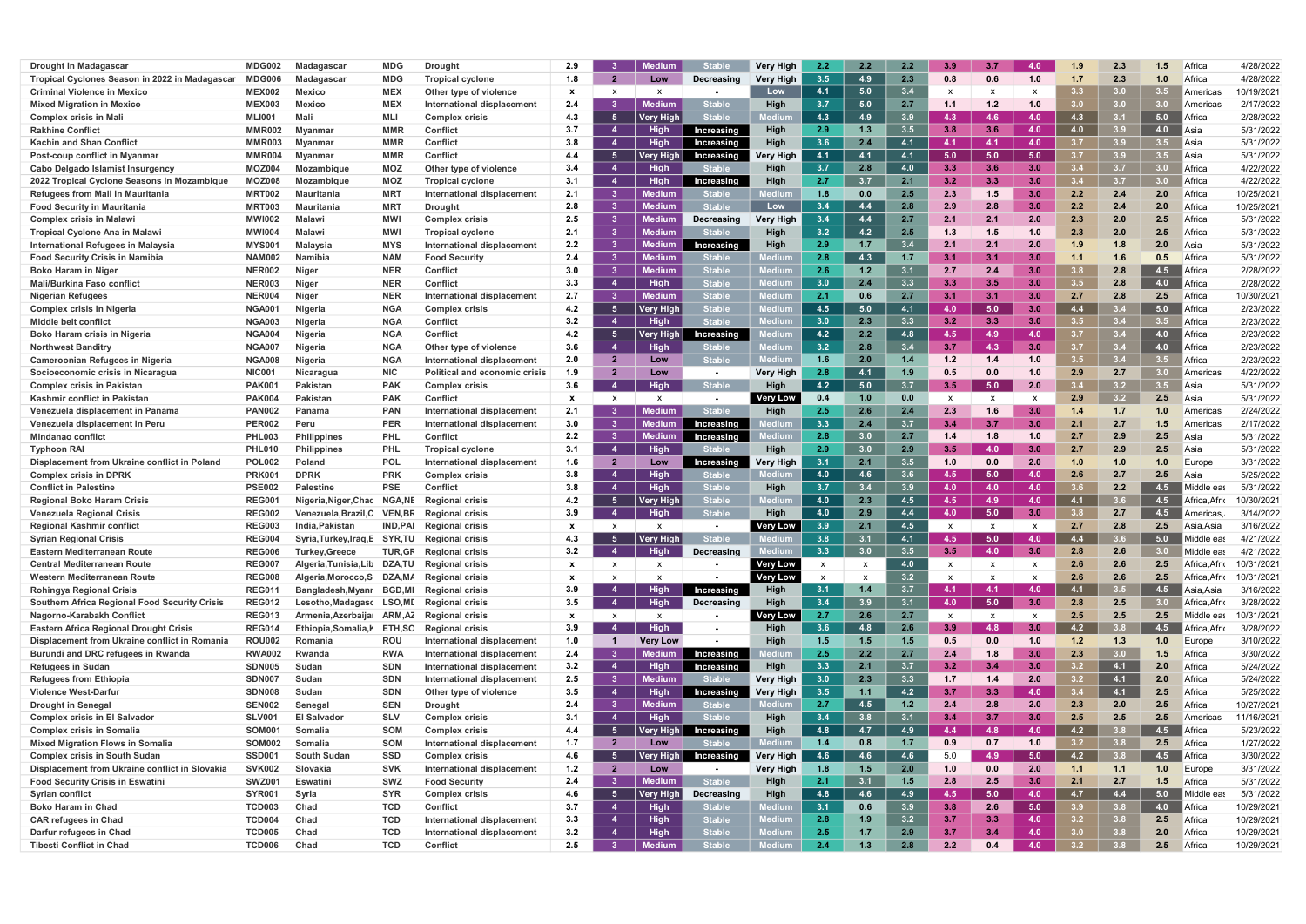| <b>Drought in Madagascar</b>                         | MDG002        | Madagascar             | <b>MDG</b>     | <b>Drough</b>                     | 2.9          |                         | Medium           |               | Verv Hiah                   | $2.2^{\circ}$             | 2.2 | 2.2 | -3.9                      | 3.7              | 4.0                       | 1.9              | 2.3 | 1.5              | Africa                | 4/28/2022  |
|------------------------------------------------------|---------------|------------------------|----------------|-----------------------------------|--------------|-------------------------|------------------|---------------|-----------------------------|---------------------------|-----|-----|---------------------------|------------------|---------------------------|------------------|-----|------------------|-----------------------|------------|
| Tropical Cyclones Season in 2022 in Madagascar       | MDG006        | <b>Madagascar</b>      | <b>MDG</b>     | <b>Tropical cyclone</b>           | 1.8          | $\overline{\mathbf{2}}$ | Low              | Decreasing    | <b>Very High</b>            | 3.5                       | 4.9 | 2.3 | 0.8                       | 0.6              | 1.0                       | 1.7              | 2.3 | 1.0              | Africa                | 4/28/2022  |
| <b>Criminal Violence in Mexico</b>                   | <b>MEX002</b> | Mexico                 | <b>MEX</b>     | Other type of violence            | $\mathbf{x}$ | x                       | X                |               | Low                         | 4.1                       | 5.0 | 3.4 | x                         |                  | x                         | 3.3              | 3.0 | 3.5              | <b>Americas</b>       | 10/19/2021 |
| <b>Mixed Migration in Mexico</b>                     | <b>MEX003</b> | Mexico                 | <b>MEX</b>     | International displacement        | 2.4          |                         | Medium           | table         | High                        | 3.7                       | 5.0 | 2.7 | 1.1                       | 1.2              | 1.0                       | 3.0              | 3.0 | 30               | Americas              | 2/17/2022  |
| <b>Complex crisis in Mali</b>                        | <b>MLI001</b> | Mali                   | <b>MLI</b>     | <b>Complex crisis</b>             | 4.3          | - 5                     | <b>Very High</b> | <b>Stable</b> |                             | 4.3                       | 4.9 | 3.9 | 4.3                       | 4.6              | 4.0                       | 4.3              | 3.1 | 5.0              | Africa                | 2/28/2022  |
| <b>Rakhine Conflict</b>                              | <b>MMR002</b> | Myanmar                | <b>MMR</b>     | <b>Conflict</b>                   | 3.7          | $\overline{4}$          | <b>High</b>      | Increasing    | High                        | 2.9                       | 1.3 | 3.5 | 3.8                       | 3.6              | 4.0                       | 4.0              | 3.9 | <b>4.0</b>       | l Asia                | 5/31/2022  |
| <b>Kachin and Shan Conflict</b>                      | MMR003        | Myanmar                | <b>MMR</b>     | <b>Conflict</b>                   | 3.8          | -4                      | High             | Increasing    | High                        | 3.6                       | 2.4 | 4.1 | $-4.1$                    | 4.1              | 4.0                       | 3.7              | 3.9 |                  | <b>∎Asia</b>          | 5/31/2022  |
| Post-coup conflict in Myanmar                        | MMR004        | Myanmar                | <b>MMR</b>     | <b>Conflict</b>                   | 4.4          | - 5                     | Very High        | Increasing    | Very High                   | 4.1                       | 4.1 | 4.1 | 5.0                       | 5.0              | 5.0                       | 3.7              | 3.9 | 3.5              | <b>BAsia</b>          | 5/31/2022  |
| Cabo Delgado Islamist Insurgency                     | <b>MOZ004</b> | <b>Mozambique</b>      | <b>MOZ</b>     | Other type of violence            | 3.4          | $\overline{4}$          | <b>High</b>      |               | High                        | 3.7                       | 2.8 | 4.0 | 3.3                       | 3.6              | 3.0                       | 3.4              | 3.7 | 3.0 <sub>1</sub> | Africa                | 4/22/2022  |
| 2022 Tropical Cyclone Seasons in Mozambique          | <b>MOZ008</b> | <b>lozambique</b>      | <b>MOZ</b>     | <b>Tropical cyclone</b>           | 3.1          | $\overline{4}$          | <b>High</b>      | Increasing    | Hiah                        | 2.7                       | 3.7 | 2.1 | 3.2                       | 3.3              | 3.0                       | $3.4^{\circ}$    | 3.7 | 3.0 <sub>1</sub> | Africa                | 4/22/2022  |
| Refugees from Mali in Mauritania                     | <b>MRT002</b> | Mauritania             | <b>MRT</b>     | International displacement        | 2.1          | 3                       | Medium           |               |                             | 1.8                       | 0.0 | 2.5 | 2.3                       | 1.5              | 3.0                       | 2.2              | 2.4 | 2.0              | Africa                | 10/25/2021 |
| <b>Food Security in Mauritania</b>                   | MRT003        | Mauritania             | <b>MRT</b>     | <b>Drought</b>                    | 2.8          | 3                       | <b>Medium</b>    |               | Low                         | 3.4                       | 4.4 | 2.8 | 2.9                       | 2.8              | 3.0                       | 2.2              | 2.4 | 2.0              | Africa                | 10/25/2021 |
| <b>Complex crisis in Malawi</b>                      | <b>MWI002</b> | Malawi                 | <b>MWI</b>     | <b>Complex crisis</b>             | 2.5          |                         | Medium           | Decreasing    | <b>Very High</b>            | 3.4                       | 4.4 | 2.7 | 2.1                       | 2.               | 2.0                       | 2.3              | 2.0 |                  | Africa                | 5/31/2022  |
| <b>Tropical Cyclone Ana in Malawi</b>                | <b>MWI004</b> | Malawi                 | <b>MWI</b>     | <b>Tropical cyclone</b>           | 2.1          |                         | <b>Medium</b>    |               | Hiah                        | 3.2                       | 4.2 | 2.5 | 1.3                       | 1.5              | 1.0                       | 2.3              | 2.0 |                  | Africa                | 5/31/2022  |
| International Refugees in Malaysia                   | <b>MYS00</b>  | Malaysia               | <b>MYS</b>     | International displacement        | 2.2          | 3                       | Mediun           | Increasing    | High                        | 2.9                       | 1.7 | 3.4 | 2.1                       |                  | 2.0                       | 1 9              | 1.8 | 2.0              | Asia                  | 5/31/2022  |
| <b>Food Security Crisis in Namibia</b>               | <b>NAM002</b> | Namibi                 | <b>NAM</b>     | <b>Food Security</b>              | 2.4          | 3                       | Medium           |               | edium                       | 2.8                       | 4.3 | -15 |                           |                  | 3.0 <sub>1</sub>          |                  | 1.6 |                  | Africa                | 5/31/2022  |
| <b>Boko Haram in Niger</b>                           | <b>NER002</b> | Niger                  | <b>NER</b>     | <b>Conflict</b>                   | 3.0          | 3                       | Medium           | <b>Stable</b> | edium                       | 2.6                       | 1.2 | 3.1 | 2.7                       | 2.4              | 3.0                       | 3.8              | 2.8 | 4.5              | Africa                | 2/28/2022  |
| <b>Mali/Burkina Faso conflict</b>                    | <b>NER003</b> | Niger                  | <b>NER</b>     | <b>Conflict</b>                   | 3.3          | $\overline{4}$          | High             | <b>Stable</b> |                             | 3.0                       | 2.4 | 3.3 | 3.3                       |                  | 3.0                       | $3.5\,$          | 2.8 | 4.0              | Africa                | 2/28/2022  |
| <b>Nigerian Refugees</b>                             | <b>NER004</b> | Niger                  | <b>NER</b>     | International displacement        | 2.7          | $\mathbf{3}$            | <b>Medium</b>    | <b>Stable</b> | edium                       | 2.1                       | 0.6 | 2.7 | 3.1                       | 3.1              | 3.0                       | 2.7              | 2.8 |                  | Africa                | 10/30/2021 |
| <b>Complex crisis in Nigeria</b>                     | NGA00         | <b>Nigeria</b>         | <b>NGA</b>     | <b>Complex crisis</b>             | 4.2          | -5                      | Very Higl        | <b>Stable</b> |                             | 4.5                       | 5.0 | 4.1 | -4.0                      | 5.0              | 3.0 <sub>1</sub>          | 4.4              | 34  | 5.0              | ∥Africa               | 2/23/2022  |
| <b>Middle belt conflict</b>                          | <b>NGA003</b> | <b>Nigeria</b>         | <b>NGA</b>     | <b>Conflict</b>                   | 3.2          | $\blacktriangle$        | High             | <b>Stable</b> |                             | 3.0                       | 2.3 | 3.3 | 3.2                       | 3.3              | 3.0                       | 3.5              | 3.4 |                  | Africa                | 2/23/2022  |
| Boko Haram crisis in Nigeria                         | <b>NGA004</b> | <b>Nigeria</b>         | <b>NGA</b>     | <b>Conflict</b>                   | 4.2          |                         | Verv High        | Increasing    |                             | 4.2                       | 2.2 | 4.8 | 4.5                       | 4.9              | 4.0                       | 3.7              | 3.4 | 4.0              | ∥Africa               | 2/23/2022  |
| <b>Northwest Banditry</b>                            | <b>NGA007</b> | Nigeria                | <b>NGA</b>     | Other type of violence            | 3.6          | $\overline{4}$          | <b>High</b>      |               |                             | 3.2                       | 2.8 | 3.4 | -3.7                      | 4.3              | 3.0                       | 3.7              | 3.4 | 4.0              | Africa                | 2/23/2022  |
| <b>Cameroonian Refugees in Nigeria</b>               | <b>NGA008</b> | <b>Nigeria</b>         | <b>NGA</b>     | International displacement        | 2.0          | $\overline{2}$          | Low              | <b>Stable</b> | lediur                      | 1.6                       | 2.0 | 1.4 | 1.2                       | 1.4              | 1.0                       | 3.5              | 3.4 | $3.5^{\circ}$    | Africa                | 2/23/2022  |
| Socioeconomic crisis in Nicaragua                    | <b>NIC001</b> | Nicaragua              | <b>NIC</b>     | Political and economic crisis     | 1.9          |                         | Low              | $\sim$        | <b>Very High</b>            | 2.8                       | 4.1 | 1.9 | 0.5                       |                  | 1.0                       | 2.9              | 2.7 | 3.0 <sub>1</sub> | <b>America</b>        | 4/22/2022  |
| <b>Complex crisis in Pakistan</b>                    | PAK00         | <b>Pakistan</b>        | <b>PAK</b>     | <b>Complex crisis</b>             | 3.6          | -4                      | High             | <b>Stable</b> | Hiah                        | 4.2                       | 5.0 | 3.7 | -3.5                      | 5.0              | 2.0                       | $3.4^{\circ}$    | 3.2 | $3.5^{\circ}$    | Asia                  | 5/31/2022  |
| Kashmir conflict in Pakistan                         | <b>PAK004</b> | Pakistan               | <b>PAK</b>     | <b>Conflict</b>                   | $\mathbf{x}$ | $\mathbf{x}$            | X                | $\sim$        | Very Low                    | 0.4                       | 1.0 | 0.0 | x                         |                  |                           | 2.9              | 3.2 | 2.5              | Asia                  | 5/31/2022  |
| Venezuela displacement in Panama                     | <b>PAN002</b> | Panama                 | <b>PAN</b>     | International displacement        | 2.1          |                         | Medium           | <b>Stable</b> | Hiah                        | 2.5                       | 2.6 | 2.4 | 2.3                       |                  | 3.0                       | 1.4              | 1.7 | 1.0              | America               | 2/24/2022  |
| Venezuela displacement in Peru                       | <b>PER002</b> | Peru                   | <b>PER</b>     | International displacement        | 3.0          | -3                      | Medium           | Increasing    |                             | 3.3                       | 2.4 | 3.7 | 3.4                       | 3.7              | 3.0                       | 2.1              | 2.7 |                  | America               | 2/17/2022  |
| Mindanao conflict                                    | <b>PHL003</b> | Philippines            | <b>PHL</b>     | Conflict                          | 2.2          | 3                       | Medium           | Increasing    |                             | 2.8                       | 3.0 | 2.7 |                           | 1.8              | 1.0                       | 2.7              | 2.9 |                  | Asia                  | 5/31/2022  |
| <b>Typhoon RA</b>                                    | <b>PHL010</b> | Philippines            | <b>PHL</b>     | <b>Tropical cyclone</b>           | 3.1          | $\overline{4}$          | <b>High</b>      |               | High                        | 2.9                       | 3.0 | 2.9 | -3.5                      | 4.0 <sub>1</sub> | 3.0 <sub>1</sub>          | 2.7              | 2.9 |                  | Asia                  | 5/31/2022  |
| Displacement from Ukraine conflict in Poland         | <b>POL002</b> | Poland                 | <b>POL</b>     | International displacement        | 1.6          | $\mathbf{2}$            | Low              | Increasing    | Very High                   | 3.1                       | 2.1 | 3.5 | 1.0                       | 0.0              | 2.0                       | 1.0              | 1.0 |                  | Europe                | 3/31/2022  |
| <b>Complex crisis in DPRK</b>                        | PRK00         | <b>DPRK</b>            | <b>PRK</b>     | <b>Complex crisis</b>             | 3.8          | $\overline{4}$          | <b>High</b>      |               |                             | 4.0                       | 4.6 | 3.6 | -4.5                      | 5.0              | 4.0                       | 2.6              | 2.7 | 2.5              | Asia                  | 5/25/2022  |
| <b>Conflict in Palestine</b>                         | <b>PSE002</b> | Palestine              | <b>PSE</b>     | Conflict                          | 3.8          | $\overline{4}$          | High             | <b>Stable</b> | Hiah                        | 3.7                       | 3.4 | 3.9 | 4.0                       | 4.0 <sub>1</sub> | 4.0                       |                  | 2.2 | 4.5              | Middle ea             | 5/31/2022  |
| <b>Regional Boko Haram Crisis</b>                    | <b>REG00</b>  | Nigeria, Niger, Chac   | NGA, NE        | <b>Regional crisis</b>            | 4.2          | - 5                     | Verv Higl        | <b>Stable</b> |                             | 4.0                       | 2.3 | 4.5 | 4.5                       | 4.9              | 4.0                       | 4.1              | 3.6 | 4.5              | Africa,Afrio          | 10/30/2021 |
| <b>Venezuela Regional Crisis</b>                     | <b>REG002</b> | Venezuela,Brazil,0     | <b>VEN,BR</b>  | <b>Regional crisis</b>            | 3.9          | $\overline{4}$          | <b>High</b>      | <b>Stable</b> | High                        | 4.0                       | 2.9 | 4.4 | 4.0                       | 5.0              | 3.0                       | 3.8 <sub>1</sub> | 2.7 | 4.5              | Americas              | 3/14/2022  |
| <b>Regional Kashmir conflict</b>                     | <b>REG003</b> | ndia.Pakistan          | <b>IND,PAI</b> | <b>Regional crisis</b>            | $\mathbf{x}$ | $\mathbf{x}$            | X                |               | Very Low                    | 3.9                       | 2.1 | 4.5 |                           | $\mathbf{x}$     | $\mathbf{x}$              | 2.7              | 2.8 | 2.5              | Asia.Asia             | 3/16/2022  |
| <b>Syrian Regional Crisis</b>                        | <b>REG004</b> | Syria, Turkey, Iraq, E | SYR.TU         | <b>Regional crisis</b>            | 4.3          |                         | <b>Very High</b> | <b>Stable</b> |                             | 3.8                       | 3.1 | 4.1 | 4.5                       | 5.0              | 4.0                       | 4.4              |     | 5.0              | Middle eas            | 4/21/2022  |
| Eastern Mediterranean Route                          | <b>REG006</b> | <b>Turkey, Greece</b>  |                | <b>TUR, GR</b> Regional crisis    | 3.2          |                         | <b>High</b>      | Decreasing    |                             | 3.3                       | 3.0 |     | 3.5                       | 4.0              | 3.0                       | 2.8              | 2.6 |                  | Middle eas            | 4/21/2022  |
| <b>Central Mediterranean Route</b>                   | <b>REG007</b> | Algeria, Tunisia, Lit  | DZA,TU         | <b>Regional crisis</b>            | $\mathbf{x}$ | x                       | x                | $\sim$        | <b>Very Low</b>             | $\boldsymbol{\mathsf{x}}$ |     | 4.0 |                           | $\mathsf{x}$     | $\boldsymbol{\mathsf{x}}$ | 2.6              | 2.6 | 2.5              | Africa Afrio          | 10/31/2021 |
| Western Mediterranean Route                          | <b>REG008</b> | Algeria, Morocco, S    |                | DZA, MA Regional crisis           | $\mathbf{x}$ |                         |                  | $\sim$        | <b>Very Low</b>             | $\mathbf{x}$              |     | 3.2 | $\boldsymbol{\mathsf{x}}$ |                  | x                         | 2.6              | 2.6 | 2.5              | Africa, Afrio         | 10/31/2021 |
| <b>Rohingya Regional Crisis</b>                      | <b>REG011</b> | Bangladesh, Myanr      | <b>BGD,MI</b>  | <b>Regional crisis</b>            | 3.9          | -4                      | <b>High</b>      | Increasing    | High                        | 3.1                       | 1.4 | 3.7 | $-4.1$                    | 4.1              | 4.0                       | 4.1              | 3.5 | 4.5              | Asia,Asia             | 3/16/2022  |
| <b>Southern Africa Regional Food Security Crisis</b> | <b>REG012</b> | Lesotho,Madagaso       |                | <b>LSO, ML</b> Regional crisis    | 3.5          | $\overline{4}$          | <b>High</b>      | Decreasing    | High                        | 3.4                       | 3.9 | 3.1 | 4.0                       | 5.0              | 3.0                       | 2.8              | 2.5 | 3.0              | Africa, Afrio         | 3/28/2022  |
| Nagorno-Karabakh Conflict                            | <b>REG013</b> | Armenia, Azerbaija     | ARM,AZ         | <b>Regional crisis</b>            | $\mathbf{x}$ | $\mathsf{X}$            | $\mathbf{x}$     | $\sim$        | <b>Very Low</b>             | 2.7                       | 2.6 | 2.7 | $\mathsf{x}$              | $\mathbf{x}$     | X                         | 2.5              | 2.5 | 2.5              | Middle eas            | 10/31/2021 |
| <b>Eastern Africa Regional Drought Crisis</b>        | <b>REG014</b> | Ethiopia, Somalia, I   | <b>ETH,SO</b>  | <b>Regional crisis</b>            | 3.9          | -4                      | High             | $\sim$        | High                        | 3.6                       | 4.8 | 2.6 | 3.9                       | 4.8              | 3.0                       | 4.2              | 3.8 | 4.5              | ∥Africa,Afri          | 3/28/2022  |
| Displacement from Ukraine conflict in Romania        | <b>ROU002</b> | Romania                | ROU            | <b>International displacement</b> | 1.0          | $\mathbf 1$             | <b>Very Low</b>  | $\sim$        | High                        | $1.5$                     | 1.5 | 1.5 | 0.5                       | 0.0              | 1.0                       | $1.2$            | 1.3 | 1.0              | Europe                | 3/10/2022  |
| Burundi and DRC refugees in Rwanda                   | <b>RWA002</b> | Rwanda                 | <b>RWA</b>     | International displacement        | 2.4          | $\mathbf{3}$            | Medium           | Increasing    |                             | 2.5                       | 2.2 | 2.7 | 2.4                       | 1.8              | 3.0                       | 2.3              | 3.0 | $1.5$            | Africa                | 3/30/2022  |
| <b>Refugees in Sudan</b>                             | <b>SDN005</b> | Sudan                  | <b>SDN</b>     | International displacement        | 3.2          | $\overline{4}$          | High             | Increasing    | High                        | 3.3                       | 2.1 | 3.7 | 3.2                       | $3.4^{\circ}$    | 3.0                       | 3.2              | 4.1 | 2.0              | Africa                | 5/24/2022  |
| <b>Refugees from Ethiopia</b>                        | <b>SDN007</b> | Sudan                  | <b>SDN</b>     | International displacement        | 2.5          | 3 <sup>1</sup>          | <b>Medium</b>    |               | <b>Very High</b>            | 3.0                       | 2.3 | 3.3 | 1.7                       | 1.4              | 2.0                       | 3.2              | 4.1 | 2.0              | Africa                | 5/24/2022  |
| <b>Violence West-Darfur</b>                          | <b>SDN008</b> | Sudan                  | <b>SDN</b>     | Other type of violence            | 3.5          | -4                      | High             | Increasing    | <b>Very High</b>            | 3.5                       | 1.1 | 4.2 | 3.7                       | 3.3 <sub>1</sub> | 4.0                       | 3.4              | 4.1 | 2.5              | Africa                | 5/25/2022  |
| <b>Drought in Senegal</b>                            | <b>SEN002</b> | Senegal                | <b>SEN</b>     | <b>Drought</b>                    | 2.4          | $\mathbf{3}$            | Medium           | Stable        | edium                       | 2.7                       | 4.5 | 1.2 | 2.4                       | 2.8              | 2.0                       | 2.3              | 2.0 | 2.5              | Africa                | 10/27/2021 |
| <b>Complex crisis in El Salvador</b>                 | <b>SLV001</b> | <b>El Salvador</b>     | <b>SLV</b>     | <b>Complex crisis</b>             | 3.1          | $\overline{4}$          | High             | <b>Stable</b> | High                        | 3.4                       | 3.8 | 3.1 | 3.4                       | 3.7              | 3.0                       | 2.5              | 2.5 | 2.5              | Americas              | 11/16/2021 |
| <b>Complex crisis in Somalia</b>                     | SOM001        | Somalia                | <b>SOM</b>     | <b>Complex crisis</b>             | 4.4          | - 5                     | Verv High        | Increasing    | High                        | 4.8                       | 4.7 | 4.9 | 4.4                       | 4.8              | 4.0                       | 4.2              | 3.8 | 4.5              | $\blacksquare$ Africa | 5/23/2022  |
| <b>Mixed Migration Flows in Somalia</b>              | SOM002        | Somalia                | <b>SOM</b>     | <b>International displacement</b> | 1.7          | $\overline{2}$          | Low              | Stable        |                             | 1.4                       | 0.8 | 1.7 | 0.9                       | 0.7              | 1.0                       | 3.2              | 3.8 | 2.5              | Africa                | 1/27/2022  |
| <b>Complex crisis in South Sudan</b>                 | SSD001        | <b>South Sudan</b>     | <b>SSD</b>     | <b>Complex crisis</b>             | 4.6          | - 5                     | <b>Very High</b> | Increasing    | <b>Very High</b>            | 4.6                       | 4.6 | 4.6 | 5.0                       | 4.9              | 5.0                       | 4.2              | 3.8 | 4.5              | $\blacksquare$ Africa | 3/30/2022  |
| Displacement from Ukraine conflict in Slovakia       | <b>SVK002</b> | Slovakia               | <b>SVK</b>     | International displacement        | 1.2          | $\mathbf{2}$            | Low              | $\sim$        | <b>Very High</b>            | 1.8                       | 1.5 | 2.0 | 1.0                       | 0.0              | 2.0                       | 1.1              | 1.1 | 1.0              | Europe                | 3/31/2022  |
| <b>Food Security Crisis in Eswatini</b>              | <b>SWZ001</b> | <b>Eswatini</b>        | <b>SWZ</b>     | <b>Food Security</b>              | 2.4          | 3 <sup>1</sup>          | <b>Medium</b>    | <b>Stable</b> | High                        | 2.1                       | 3.1 | 1.5 | 2.8                       | 2.5              | 3.0                       | 2.1              | 2.7 | 1.5              | Africa                | 5/31/2022  |
| <b>Syrian conflict</b>                               | <b>SYR001</b> | Syria                  | <b>SYR</b>     | <b>Complex crisis</b>             | 4.6          | $-5$                    | Very Higl        | Decreasing    | High                        | 4.8                       | 4.6 | 4.9 | 4.5                       | 5.0 <sub>1</sub> | 4.0                       | 4.7              | 4.4 | 5.0              | Middle ea             | 5/31/2022  |
| <b>Boko Haram in Chad</b>                            | <b>TCD003</b> | Chad                   | <b>TCD</b>     | Conflict                          | 3.7          | -4                      | High             | <b>Stable</b> | lediur                      | 3.1                       | 0.6 | 3.9 | 3.8                       | 2.6              | 5.0                       | 3.9 <sub>2</sub> | 3.8 | 4.0              | Africa                | 10/29/2021 |
| <b>CAR refugees in Chad</b>                          | <b>TCD004</b> | Chad                   | <b>TCD</b>     | <b>International displacement</b> | 3.3          | -4                      | High             | <b>Stable</b> | Medium                      | 2.8                       | 1.9 | 3.2 | 3.7                       | 3.3 <sub>1</sub> | 4.0                       | 3.2              | 3.8 | 2.5              | Africa                | 10/29/2021 |
| Darfur refugees in Chad                              | <b>TCD005</b> | Chad                   | <b>TCD</b>     | International displacement        | 3.2          | -4                      | High             | <b>Stable</b> | <b><i><u>Aedium</u></i></b> | 2.5                       | 1.7 | 2.9 | 3.7                       | 3.4              | 4.0                       | 3.0 <sub>2</sub> | 3.8 | 2.0              | Africa                | 10/29/2021 |
| <b>Tibesti Conflict in Chad</b>                      | <b>TCD006</b> | Chad                   | <b>TCD</b>     | Conflict                          | 2.5          | - 3                     | <b>Medium</b>    | <b>Stable</b> | ledium                      | 2.4                       | 1.3 | 2.8 | 2.2                       | 0.4              | 4.0                       | 3.2              | 3.8 | 2.5              | Africa                | 10/29/2021 |